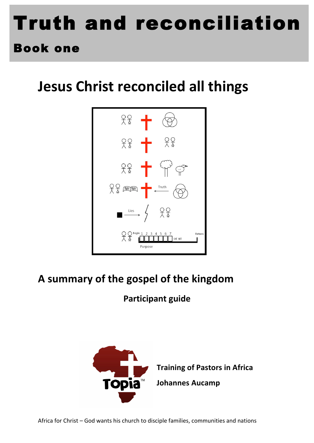# Truth and reconciliation

### Book one

## **Jesus Christ reconciled all things**



#### A summary of the gospel of the kingdom

#### **Participant guide**

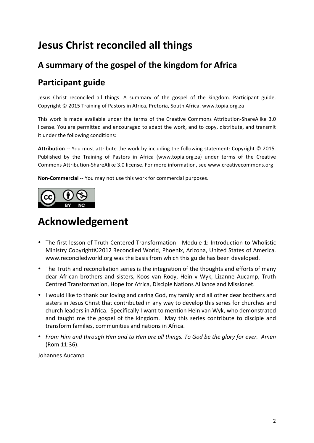#### **Jesus Christ reconciled all things**

#### A summary of the gospel of the kingdom for Africa

#### **Participant guide**

Jesus Christ reconciled all things. A summary of the gospel of the kingdom. Participant guide. Copyright © 2015 Training of Pastors in Africa, Pretoria, South Africa. www.topia.org.za

This work is made available under the terms of the Creative Commons Attribution-ShareAlike 3.0 license. You are permitted and encouraged to adapt the work, and to copy, distribute, and transmit it under the following conditions:

Attribution -- You must attribute the work by including the following statement: Copyright © 2015. Published by the Training of Pastors in Africa (www.topia.org.za) under terms of the Creative Commons Attribution-ShareAlike 3.0 license. For more information, see www.creativecommons.org

Non-Commercial -- You may not use this work for commercial purposes.



#### **Acknowledgement**

- The first lesson of Truth Centered Transformation Module 1: Introduction to Wholistic Ministry Copyright©2012 Reconciled World, Phoenix, Arizona, United States of America. www.reconciledworld.org was the basis from which this guide has been developed.
- The Truth and reconciliation series is the integration of the thoughts and efforts of many dear African brothers and sisters, Koos van Rooy, Hein v Wyk, Lizanne Aucamp, Truth Centred Transformation, Hope for Africa, Disciple Nations Alliance and Missionet.
- I would like to thank our loving and caring God, my family and all other dear brothers and sisters in Jesus Christ that contributed in any way to develop this series for churches and church leaders in Africa.' Specifically I want to mention Hein van Wyk, who demonstrated and taught me the gospel of the kingdom. May this series contribute to disciple and transform families, communities and nations in Africa.
- *From%Him%and%through%Him%and%to%Him%are%all%things.%To%God%be%the%glory%for%ever.%%Amen* (Rom 11:36).

Johannes Aucamp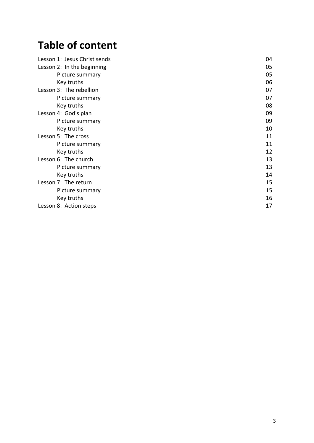#### **Table of content**

| Lesson 1: Jesus Christ sends | 04 |
|------------------------------|----|
| Lesson 2: In the beginning   | 05 |
| Picture summary              | 05 |
| Key truths                   | 06 |
| Lesson 3: The rebellion      | 07 |
| Picture summary              | 07 |
| Key truths                   | 08 |
| Lesson 4: God's plan         | 09 |
| Picture summary              | 09 |
| Key truths                   | 10 |
| Lesson 5: The cross          | 11 |
| Picture summary              | 11 |
| Key truths                   | 12 |
| Lesson 6: The church         | 13 |
| Picture summary              | 13 |
| Key truths                   | 14 |
| Lesson 7: The return         | 15 |
| Picture summary              | 15 |
| Key truths                   | 16 |
| Lesson 8: Action steps       | 17 |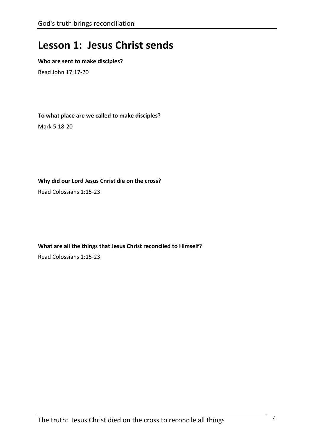#### **Lesson 1: Jesus Christ sends**

#### **Who are sent to make disciples?**

Read John 17:17-20

To what place are we called to make disciples?

Mark 5:18-20

Why did our Lord Jesus Cnrist die on the cross?

Read Colossians 1:15-23

What are all the things that Jesus Christ reconciled to Himself? Read Colossians 1:15-23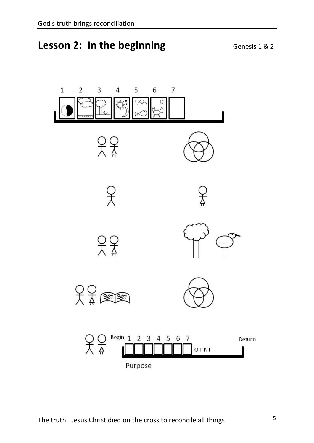#### **Lesson 2: In the beginning Supplement Connects**  $\sqrt{2}$

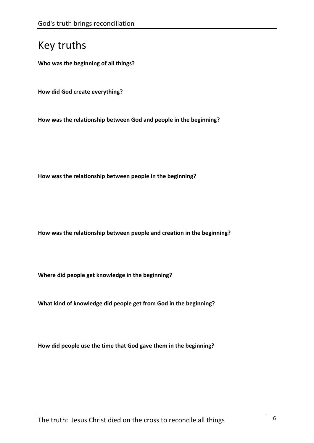**Who was the beginning of all things?** 

**How did God create everything?** 

How was the relationship between God and people in the beginning?

How was the relationship between people in the beginning?

How was the relationship between people and creation in the beginning?

Where did people get knowledge in the beginning?

What kind of knowledge did people get from God in the beginning?

How did people use the time that God gave them in the beginning?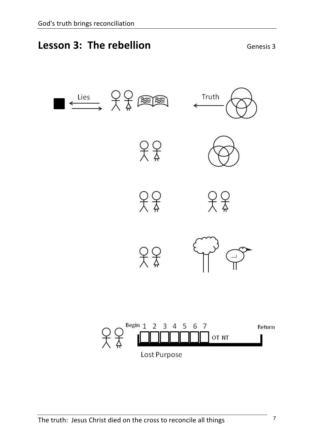#### **Lesson 3: The rebellion Separate Secure 2: All Security Senesis 3**

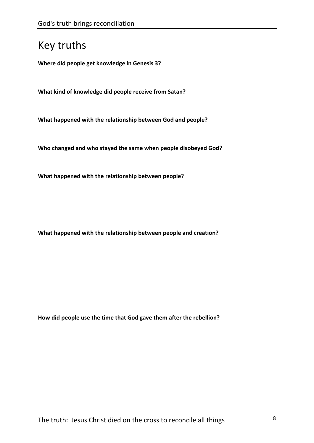**Where did people get knowledge in Genesis 3?** 

**What kind of knowledge did people receive from Satan?** 

**What happened with the relationship between God and people?** 

Who changed and who stayed the same when people disobeyed God?

What happened with the relationship between people?

What happened with the relationship between people and creation?

How did people use the time that God gave them after the rebellion?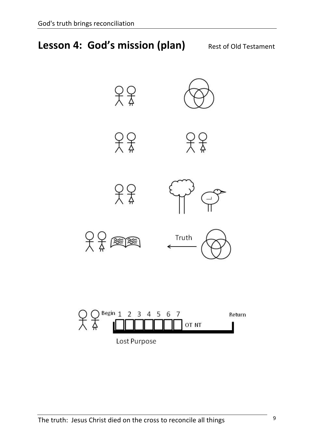#### **Lesson 4: God's mission (plan)** Rest of Old Testament



Lost Purpose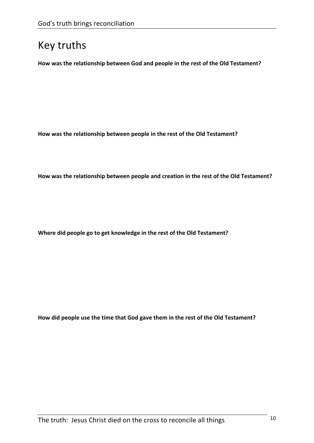How was the relationship between God and people in the rest of the Old Testament?

How was the relationship between people in the rest of the Old Testament?

How was the relationship between people and creation in the rest of the Old Testament?

Where did people go to get knowledge in the rest of the Old Testament?

How did people use the time that God gave them in the rest of the Old Testament?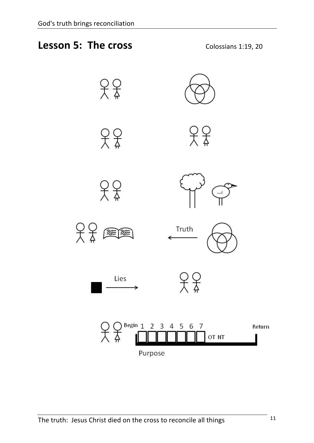

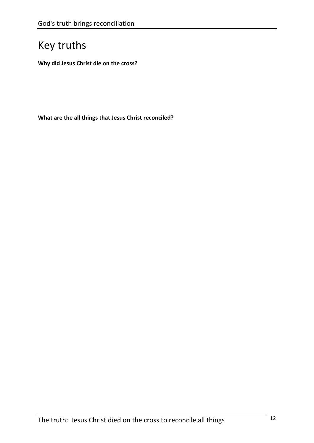**Why did Jesus Christ die on the cross?** 

What are the all things that Jesus Christ reconciled?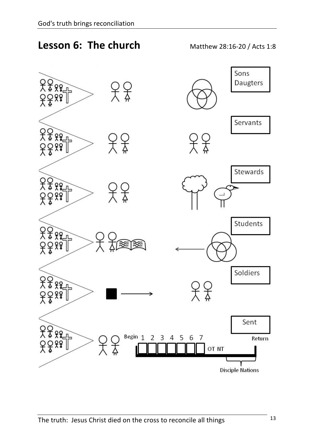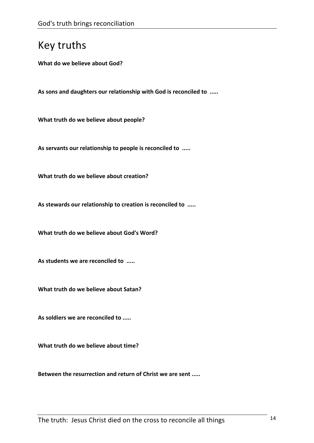**What do we believe about God?** 

As sons and daughters our relationship with God is reconciled to .....

**What truth do we believe about people?** 

As servants our relationship to people is reconciled to .....

**What truth do we believe about creation?** 

As stewards our relationship to creation is reconciled to .....

What truth do we believe about God's Word?

As students we are reconciled to .....

**What truth do we believe about Satan?** 

As soldiers we are reconciled to .....

**What truth do we believe about time?** 

Between the resurrection and return of Christ we are sent .....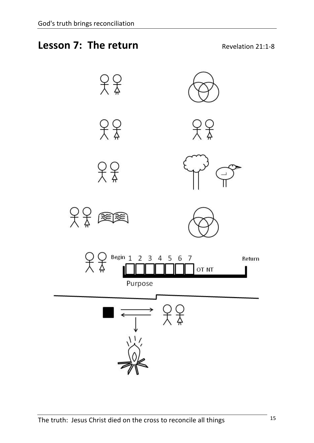#### **Lesson 7: The return Example 21:1-8** Revelation 21:1-8

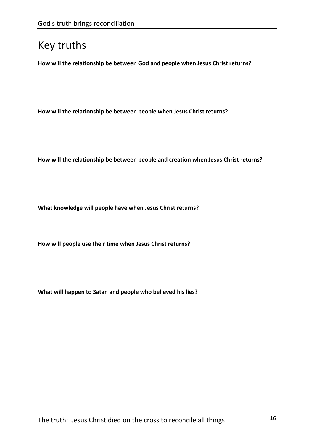How will the relationship be between God and people when Jesus Christ returns?

How will the relationship be between people when Jesus Christ returns?

How will the relationship be between people and creation when Jesus Christ returns?

What knowledge will people have when Jesus Christ returns?

How will people use their time when Jesus Christ returns?

What will happen to Satan and people who believed his lies?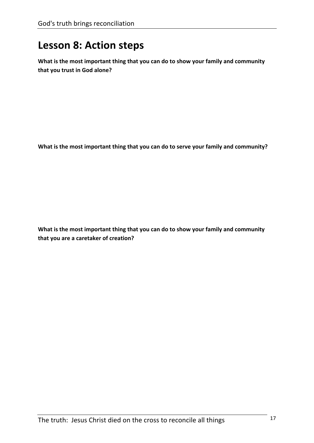#### **Lesson 8: Action steps**

What is the most important thing that you can do to show your family and community that you trust in God alone?

What is the most important thing that you can do to serve your family and community?

What is the most important thing that you can do to show your family and community that you are a caretaker of creation?